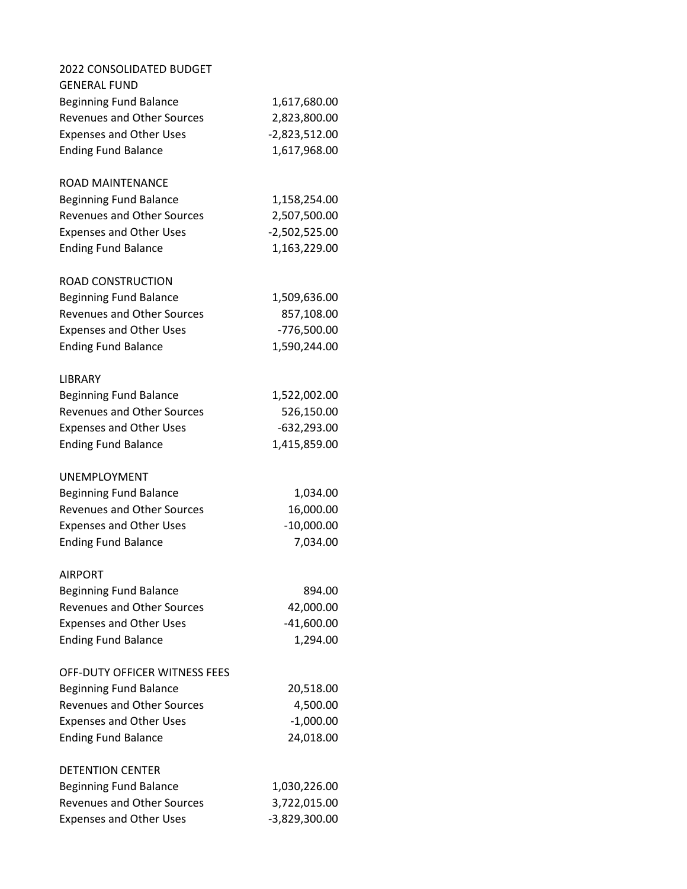| 2022 CONSOLIDATED BUDGET          |                 |
|-----------------------------------|-----------------|
| <b>GENERAL FUND</b>               |                 |
| <b>Beginning Fund Balance</b>     | 1,617,680.00    |
| <b>Revenues and Other Sources</b> | 2,823,800.00    |
| <b>Expenses and Other Uses</b>    | $-2,823,512.00$ |
| <b>Ending Fund Balance</b>        | 1,617,968.00    |
| ROAD MAINTENANCE                  |                 |
| <b>Beginning Fund Balance</b>     | 1,158,254.00    |
| <b>Revenues and Other Sources</b> | 2,507,500.00    |
| <b>Expenses and Other Uses</b>    | $-2,502,525.00$ |
| <b>Ending Fund Balance</b>        | 1,163,229.00    |
| ROAD CONSTRUCTION                 |                 |
| <b>Beginning Fund Balance</b>     | 1,509,636.00    |
| <b>Revenues and Other Sources</b> | 857,108.00      |
| <b>Expenses and Other Uses</b>    | -776,500.00     |
| <b>Ending Fund Balance</b>        | 1,590,244.00    |
| LIBRARY                           |                 |
| <b>Beginning Fund Balance</b>     | 1,522,002.00    |
| <b>Revenues and Other Sources</b> | 526,150.00      |
| <b>Expenses and Other Uses</b>    | $-632,293.00$   |
| <b>Ending Fund Balance</b>        | 1,415,859.00    |
| UNEMPLOYMENT                      |                 |
| <b>Beginning Fund Balance</b>     | 1,034.00        |
| <b>Revenues and Other Sources</b> | 16,000.00       |
| <b>Expenses and Other Uses</b>    | $-10,000.00$    |
| <b>Ending Fund Balance</b>        | 7,034.00        |
| AIRPORT                           |                 |
| <b>Beginning Fund Balance</b>     | 894.00          |
| <b>Revenues and Other Sources</b> | 42,000.00       |
| <b>Expenses and Other Uses</b>    | $-41,600.00$    |
| <b>Ending Fund Balance</b>        | 1,294.00        |
| OFF-DUTY OFFICER WITNESS FEES     |                 |
| <b>Beginning Fund Balance</b>     | 20,518.00       |
| <b>Revenues and Other Sources</b> | 4,500.00        |
| <b>Expenses and Other Uses</b>    | $-1,000.00$     |
| <b>Ending Fund Balance</b>        | 24,018.00       |
| DETENTION CENTER                  |                 |
| <b>Beginning Fund Balance</b>     | 1,030,226.00    |
| <b>Revenues and Other Sources</b> | 3,722,015.00    |
| <b>Expenses and Other Uses</b>    | -3,829,300.00   |